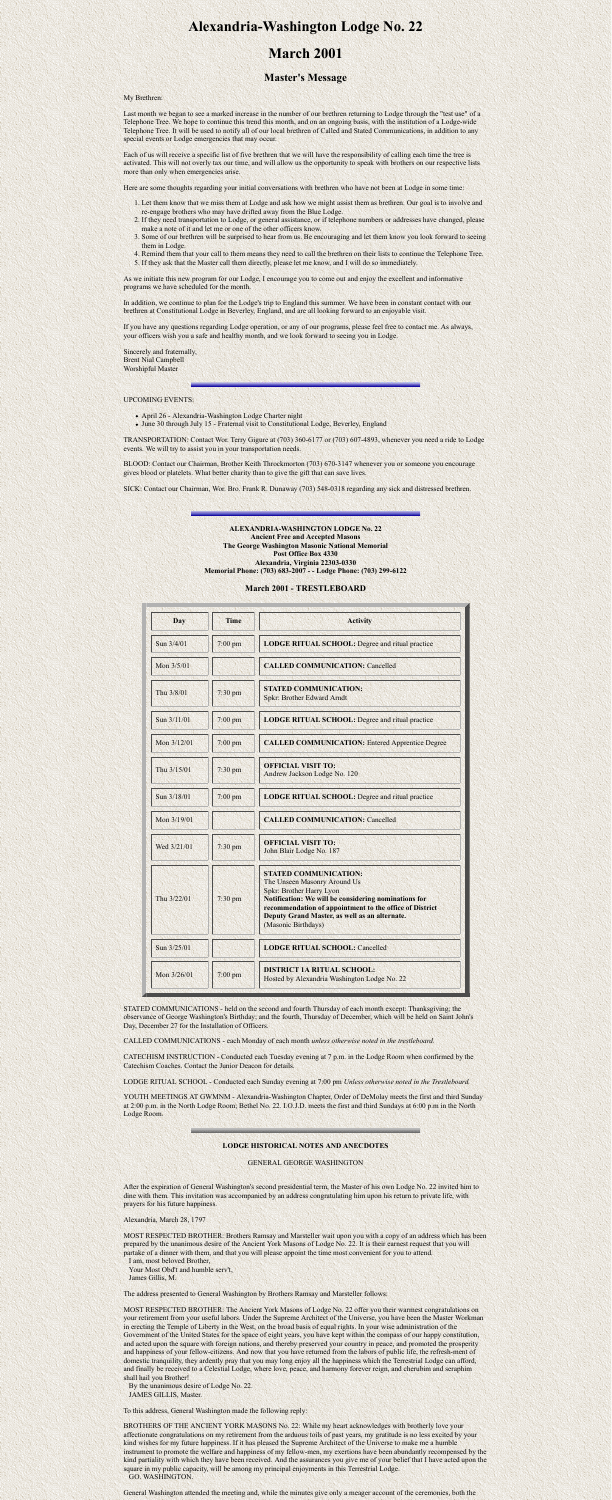# **Alexandria-Washington Lodge No. 22**

# **March 2001**

## **Master's Message**

#### My Brethren:

Last month we began to see a marked increase in the number of our brethren returning to Lodge through the "test use" of a Telephone Tree. We hope to continue this trend this month, and on an ongoing basis, with the institution of a Lodge-wide Telephone Tree. It will be used to notify all of our local brethren of Called and Stated Communications, in addition to any special events or Lodge emergencies that may occur.

Each of us will receive a specific list of five brethren that we will have the responsibility of calling each time the tree is activated. This will not overly tax our time, and will allow us the opportunity to speak with brothers on our respective lists more than only when emergencies arise.

Here are some thoughts regarding your initial conversations with brethren who have not been at Lodge in some time:

- April 26 Alexandria-Washington Lodge Charter night
- June 30 through July 15 Fraternal visit to Constitutional Lodge, Beverley, England
- 1. Let them know that we miss them at Lodge and ask how we might assist them as brethren. Our goal is to involve and re-engage brothers who may have drifted away from the Blue Lodge.
- 2. If they need transportation to Lodge, or general assistance, or if telephone numbers or addresses have changed, please make a note of it and let me or one of the other officers know.
- 3. Some of our brethren will be surprised to hear from us. Be encouraging and let them know you look forward to seeing them in Lodge.
- 4. Remind them that your call to them means they need to call the brethren on their lists to continue the Telephone Tree.
- 5. If they ask that the Master call them directly, please let me know, and I will do so immediately.

As we initiate this new program for our Lodge, I encourage you to come out and enjoy the excellent and informative programs we have scheduled for the month.

In addition, we continue to plan for the Lodge's trip to England this summer. We have been in constant contact with our brethren at Constitutional Lodge in Beverley, England, and are all looking forward to an enjoyable visit.

If you have any questions regarding Lodge operation, or any of our programs, please feel free to contact me. As always, your officers wish you a safe and healthy month, and we look forward to seeing you in Lodge.

Sincerely and fraternally, Brent Nial Campbell Worshipful Master

#### UPCOMING EVENTS:

TRANSPORTATION: Contact Wor. Terry Gigure at (703) 360-6177 or (703) 607-4893, whenever you need a ride to Lodge events. We will try to assist you in your transportation needs.

BLOOD: Contact our Chairman, Brother Keith Throckmorton (703) 670-3147 whenever you or someone you encourage gives blood or platelets. What better charity than to give the gift that can save lives.

SICK: Contact our Chairman, Wor. Bro. Frank R. Dunaway (703) 548-0318 regarding any sick and distressed brethren.

**ALEXANDRIA-WASHINGTON LODGE No. 22 Ancient Free and Accepted Masons The George Washington Masonic National Memorial**

### **Post Office Box 4330 Alexandria, Virginia 22303-0330 Memorial Phone: (703) 683-2007 - - Lodge Phone: (703) 299-6122**

### **March 2001 - TRESTLEBOARD**

| <b>Day</b>  | <b>Time</b>       | <b>Activity</b>                                                                                                                                                                                                                                                                                   |
|-------------|-------------------|---------------------------------------------------------------------------------------------------------------------------------------------------------------------------------------------------------------------------------------------------------------------------------------------------|
| Sun 3/4/01  | 7:00 pm           | <b>LODGE RITUAL SCHOOL: Degree and ritual practice</b>                                                                                                                                                                                                                                            |
| Mon 3/5/01  |                   | <b>CALLED COMMUNICATION: Cancelled</b>                                                                                                                                                                                                                                                            |
| Thu 3/8/01  | $7:30$ pm         | <b>STATED COMMUNICATION:</b><br><b>Spkr: Brother Edward Arndt</b>                                                                                                                                                                                                                                 |
| Sun 3/11/01 | $7:00$ pm         | <b>LODGE RITUAL SCHOOL:</b> Degree and ritual practice                                                                                                                                                                                                                                            |
| Mon 3/12/01 | $7:00$ pm         | <b>CALLED COMMUNICATION: Entered Apprentice Degree</b>                                                                                                                                                                                                                                            |
| Thu 3/15/01 | $7:30$ pm         | <b>OFFICIAL VISIT TO:</b><br>Andrew Jackson Lodge No. 120                                                                                                                                                                                                                                         |
| Sun 3/18/01 | $7:00$ pm         | <b>LODGE RITUAL SCHOOL:</b> Degree and ritual practice                                                                                                                                                                                                                                            |
| Mon 3/19/01 |                   | <b>CALLED COMMUNICATION: Cancelled</b>                                                                                                                                                                                                                                                            |
| Wed 3/21/01 | $7:30$ pm         | <b>OFFICIAL VISIT TO:</b><br>John Blair Lodge No. 187                                                                                                                                                                                                                                             |
| Thu 3/22/01 | $7:30$ pm         | <b>STATED COMMUNICATION:</b><br>The Unseen Masonry Around Us<br><b>Spkr: Brother Harry Lyon</b><br><b>Notification: We will be considering nominations for</b><br>recommendation of appointment to the office of District<br>Deputy Grand Master, as well as an alternate.<br>(Masonic Birthdays) |
| Sun 3/25/01 |                   | <b>LODGE RITUAL SCHOOL: Cancelled</b>                                                                                                                                                                                                                                                             |
| Mon 3/26/01 | $7:00 \text{ pm}$ | <b>DISTRICT 1A RITUAL SCHOOL:</b><br>Hosted by Alexandria Washington Lodge No. 22                                                                                                                                                                                                                 |

STATED COMMUNICATIONS - held on the second and fourth Thursday of each month except: Thanksgiving; the observance of George Washington's Birthday; and the fourth, Thursday of December, which will be held on Saint John's Day, December 27 for the Installation of Officers.

CALLED COMMUNICATIONS - each Monday of each month *unless otherwise noted in the trestleboard.*

CATECHISM INSTRUCTION - Conducted each Tuesday evening at 7 p.m. in the Lodge Room when confirmed by the Catechism Coaches. Contact the Junior Deacon for details.

LODGE RITUAL SCHOOL - Conducted each Sunday evening at 7:00 pm *Unless otherwise noted in the Trestleboard.*

YOUTH MEETINGS AT GWMNM - Alexandria-Washington Chapter, Order of DeMolay meets the first and third Sunday at 2:00 p.m. in the North Lodge Room; Bethel No. 22. I.O.J.D. meets the first and third Sundays at 6:00 p.m in the North Lodge Room.

#### **LODGE HISTORICAL NOTES AND ANECDOTES**

#### GENERAL GEORGE WASHINGTON

After the expiration of General Washington's second presidential term, the Master of his own Lodge No. 22 invited him to dine with them. This invitation was accompanied by an address congratulating him upon his return to private life, with prayers for his future happiness.

Alexandria, March 28, 1797

MOST RESPECTED BROTHER: Brothers Ramsay and Marsteller wait upon you with a copy of an address which has been prepared by the unanimous desire of the Ancient York Masons of Lodge No. 22. It is their earnest request that you will partake of a dinner with them, and that you will please appoint the time most convenient for you to attend.

 I am, most beloved Brother, Your Most Obd't and humble serv't, James Gillis, M.

The address presented to General Washington by Brothers Ramsay and Marsteller follows:

MOST RESPECTED BROTHER: The Ancient York Masons of Lodge No. 22 offer you their warmest congratulations on your retirement from your useful labors. Under the Supreme Architect of the Universe, you have been the Master Workman in erecting the Temple of Liberty in the West, on the broad basis of equal rights. In your wise administration of the Government of the United States for the space of eight years, you have kept within the compass of our happy constitution, and acted upon the square with foreign nations, and thereby preserved your country in peace, and promoted the prosperity and happiness of your fellow-citizens. And now that you have returned from the labors of public life, the refresh-ment of domestic tranquility, they ardently pray that you may long enjoy all the happiness which the Terrestrial Lodge can afford, and finally be received to a Celestial Lodge, where love, peace, and harmony forever reign, and cherubim and seraphim shall hail you Brother!

 By the unanimous desire of Lodge No. 22. JAMES GILLIS, Master.

To this address, General Washington made the following reply:

BROTHERS OF THE ANCIENT YORK MASONS No. 22: While my heart acknowledges with brotherly love your affectionate congratulations on my retirement from the arduous toils of past years, my gratitude is no less excited by your kind wishes for my future happiness. If it has pleased the Supreme Architect of the Universe to make me a humble instrument to promote the welfare and happiness of my fellow-men, my exertions have been abundantly recompensed by the kind partiality with which they have been received. And the assurances you give me of your belief that I have acted upon the square in my public capacity, will be among my principal enjoyments in this Terrestrial Lodge. GO. WASHINGTON.

General Washington attended the meeting and, while the minutes give only a meager account of the ceremonies, both the